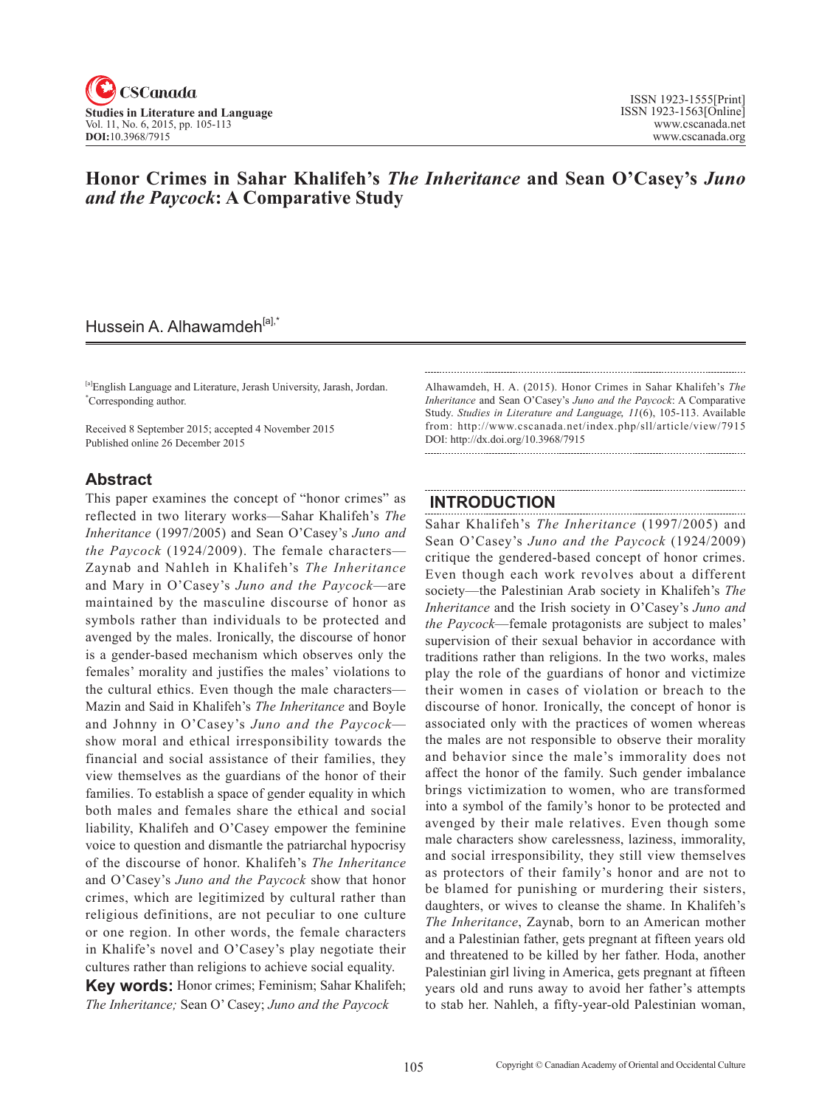

## **Honor Crimes in Sahar Khalifeh's** *The Inheritance* **and Sean O'Casey's** *Juno and the Paycock***: A Comparative Study**

## Hussein A. Alhawamdeh<sup>[a],\*</sup>

[a]English Language and Literature, Jerash University, Jarash, Jordan. \* Corresponding author.

Received 8 September 2015; accepted 4 November 2015 Published online 26 December 2015

### **Abstract**

This paper examines the concept of "honor crimes" as reflected in two literary works—Sahar Khalifeh's *The Inheritance* (1997/2005) and Sean O'Casey's *Juno and the Paycock* (1924/2009). The female characters— Zaynab and Nahleh in Khalifeh's *The Inheritance*  and Mary in O'Casey's *Juno and the Paycock*—are maintained by the masculine discourse of honor as symbols rather than individuals to be protected and avenged by the males. Ironically, the discourse of honor is a gender-based mechanism which observes only the females' morality and justifies the males' violations to the cultural ethics. Even though the male characters— Mazin and Said in Khalifeh's *The Inheritance* and Boyle and Johnny in O'Casey's *Juno and the Paycock* show moral and ethical irresponsibility towards the financial and social assistance of their families, they view themselves as the guardians of the honor of their families. To establish a space of gender equality in which both males and females share the ethical and social liability, Khalifeh and O'Casey empower the feminine voice to question and dismantle the patriarchal hypocrisy of the discourse of honor. Khalifeh's *The Inheritance* and O'Casey's *Juno and the Paycock* show that honor crimes, which are legitimized by cultural rather than religious definitions, are not peculiar to one culture or one region. In other words, the female characters in Khalife's novel and O'Casey's play negotiate their cultures rather than religions to achieve social equality.

**Key words:** Honor crimes; Feminism; Sahar Khalifeh; *The Inheritance;* Sean O' Casey; *Juno and the Paycock*

Alhawamdeh, H. A. (2015). Honor Crimes in Sahar Khalifeh's *The Inheritance* and Sean O'Casey's *Juno and the Paycock*: A Comparative Study. *Studies in Literature and Language*, <sup>11</sup>(6), 105-113. Available from: http://www.cscanada.net/index.php/sll/article/view/7915 DOI: http://dx.doi.org/10.3968/7915

### **INTRODUCTION**

Sahar Khalifeh's *The Inheritance* (1997/2005) and Sean O'Casey's *Juno and the Paycock* (1924/2009) critique the gendered-based concept of honor crimes. Even though each work revolves about a different society—the Palestinian Arab society in Khalifeh's *The Inheritance* and the Irish society in O'Casey's *Juno and the Paycock*—female protagonists are subject to males' supervision of their sexual behavior in accordance with traditions rather than religions. In the two works, males play the role of the guardians of honor and victimize their women in cases of violation or breach to the discourse of honor. Ironically, the concept of honor is associated only with the practices of women whereas the males are not responsible to observe their morality and behavior since the male's immorality does not affect the honor of the family. Such gender imbalance brings victimization to women, who are transformed into a symbol of the family's honor to be protected and avenged by their male relatives. Even though some male characters show carelessness, laziness, immorality, and social irresponsibility, they still view themselves as protectors of their family's honor and are not to be blamed for punishing or murdering their sisters, daughters, or wives to cleanse the shame. In Khalifeh's *The Inheritance*, Zaynab, born to an American mother and a Palestinian father, gets pregnant at fifteen years old and threatened to be killed by her father. Hoda, another Palestinian girl living in America, gets pregnant at fifteen years old and runs away to avoid her father's attempts to stab her. Nahleh, a fifty-year-old Palestinian woman,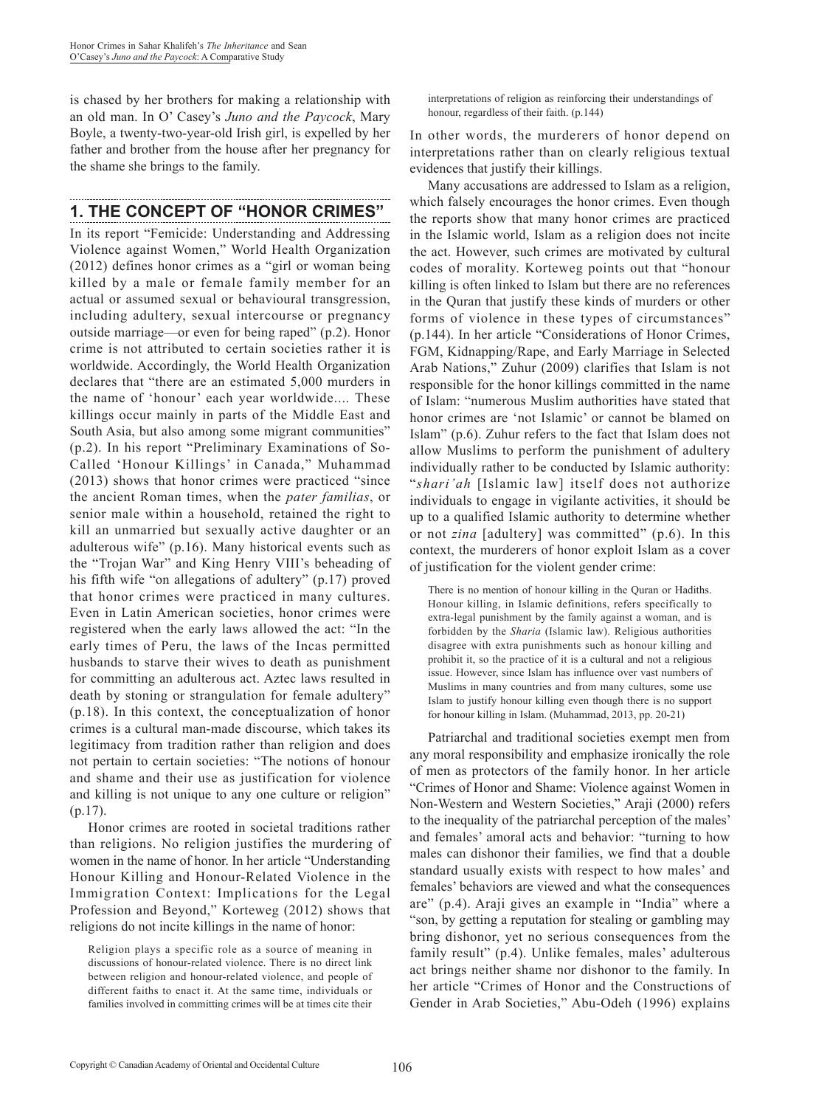is chased by her brothers for making a relationship with an old man. In O' Casey's *Juno and the Paycock*, Mary Boyle, a twenty-two-year-old Irish girl, is expelled by her father and brother from the house after her pregnancy for the shame she brings to the family.

# **1. THE CONCEPT OF "HONOR CRIMES"**

In its report "Femicide: Understanding and Addressing Violence against Women," World Health Organization (2012) defines honor crimes as a "girl or woman being killed by a male or female family member for an actual or assumed sexual or behavioural transgression, including adultery, sexual intercourse or pregnancy outside marriage—or even for being raped" (p.2). Honor crime is not attributed to certain societies rather it is worldwide. Accordingly, the World Health Organization declares that "there are an estimated 5,000 murders in the name of 'honour' each year worldwide.... These killings occur mainly in parts of the Middle East and South Asia, but also among some migrant communities" (p.2). In his report "Preliminary Examinations of So-Called 'Honour Killings' in Canada," Muhammad (2013) shows that honor crimes were practiced "since the ancient Roman times, when the *pater familias*, or senior male within a household, retained the right to kill an unmarried but sexually active daughter or an adulterous wife" (p.16). Many historical events such as the "Trojan War" and King Henry VIII's beheading of his fifth wife "on allegations of adultery" (p.17) proved that honor crimes were practiced in many cultures. Even in Latin American societies, honor crimes were registered when the early laws allowed the act: "In the early times of Peru, the laws of the Incas permitted husbands to starve their wives to death as punishment for committing an adulterous act. Aztec laws resulted in death by stoning or strangulation for female adultery" (p.18). In this context, the conceptualization of honor crimes is a cultural man-made discourse, which takes its legitimacy from tradition rather than religion and does not pertain to certain societies: "The notions of honour and shame and their use as justification for violence and killing is not unique to any one culture or religion" (p.17).

Honor crimes are rooted in societal traditions rather than religions. No religion justifies the murdering of women in the name of honor. In her article "Understanding Honour Killing and Honour-Related Violence in the Immigration Context: Implications for the Legal Profession and Beyond," Korteweg (2012) shows that religions do not incite killings in the name of honor:

interpretations of religion as reinforcing their understandings of honour, regardless of their faith. (p.144)

In other words, the murderers of honor depend on interpretations rather than on clearly religious textual evidences that justify their killings.

Many accusations are addressed to Islam as a religion, which falsely encourages the honor crimes. Even though the reports show that many honor crimes are practiced in the Islamic world, Islam as a religion does not incite the act. However, such crimes are motivated by cultural codes of morality. Korteweg points out that "honour killing is often linked to Islam but there are no references in the Quran that justify these kinds of murders or other forms of violence in these types of circumstances" (p.144). In her article "Considerations of Honor Crimes, FGM, Kidnapping/Rape, and Early Marriage in Selected Arab Nations," Zuhur (2009) clarifies that Islam is not responsible for the honor killings committed in the name of Islam: "numerous Muslim authorities have stated that honor crimes are 'not Islamic' or cannot be blamed on Islam" (p.6). Zuhur refers to the fact that Islam does not allow Muslims to perform the punishment of adultery individually rather to be conducted by Islamic authority: "*shari'ah* [Islamic law] itself does not authorize individuals to engage in vigilante activities, it should be up to a qualified Islamic authority to determine whether or not *zina* [adultery] was committed" (p.6). In this context, the murderers of honor exploit Islam as a cover of justification for the violent gender crime:

There is no mention of honour killing in the Quran or Hadiths. Honour killing, in Islamic definitions, refers specifically to extra-legal punishment by the family against a woman, and is forbidden by the *Sharia* (Islamic law). Religious authorities disagree with extra punishments such as honour killing and prohibit it, so the practice of it is a cultural and not a religious issue. However, since Islam has influence over vast numbers of Muslims in many countries and from many cultures, some use Islam to justify honour killing even though there is no support for honour killing in Islam. (Muhammad, 2013, pp. 20-21)

Patriarchal and traditional societies exempt men from any moral responsibility and emphasize ironically the role of men as protectors of the family honor. In her article "Crimes of Honor and Shame: Violence against Women in Non-Western and Western Societies," Araji (2000) refers to the inequality of the patriarchal perception of the males' and females' amoral acts and behavior: "turning to how males can dishonor their families, we find that a double standard usually exists with respect to how males' and females' behaviors are viewed and what the consequences are" (p.4). Araji gives an example in "India" where a "son, by getting a reputation for stealing or gambling may bring dishonor, yet no serious consequences from the family result" (p.4). Unlike females, males' adulterous act brings neither shame nor dishonor to the family. In her article "Crimes of Honor and the Constructions of Gender in Arab Societies," Abu-Odeh (1996) explains

Religion plays a specific role as a source of meaning in discussions of honour-related violence. There is no direct link between religion and honour-related violence, and people of different faiths to enact it. At the same time, individuals or families involved in committing crimes will be at times cite their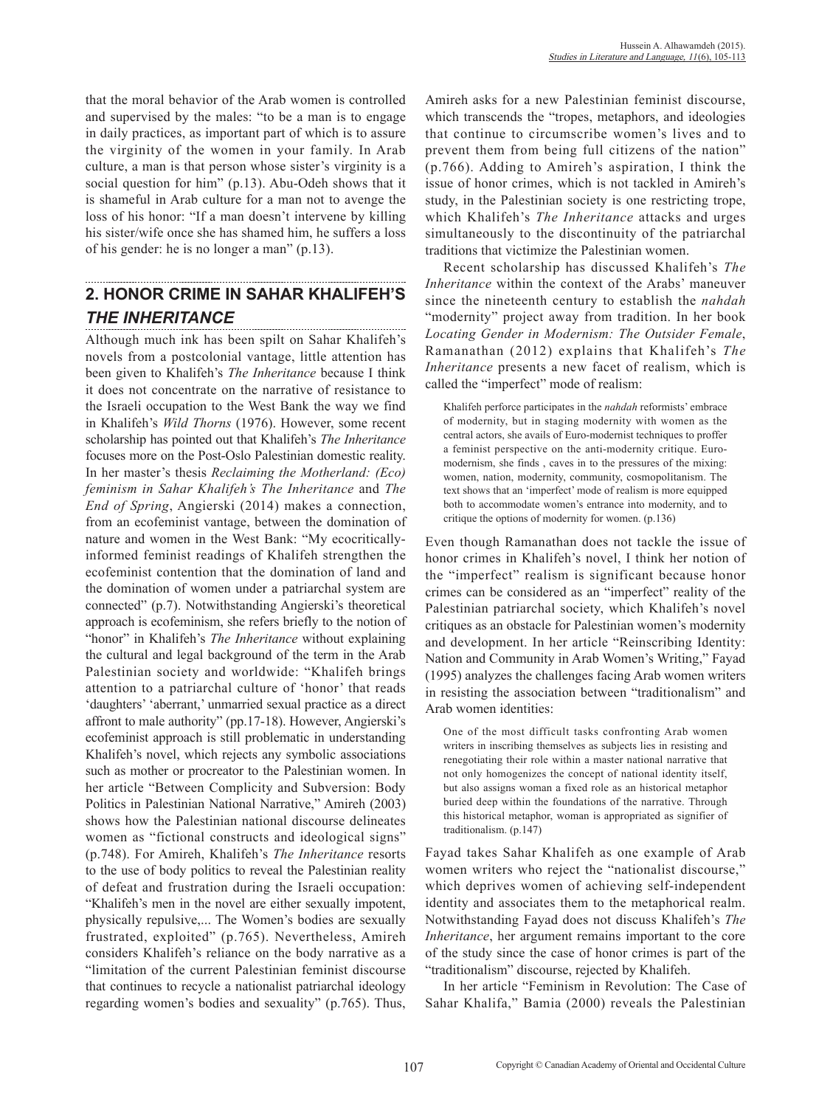that the moral behavior of the Arab women is controlled and supervised by the males: "to be a man is to engage in daily practices, as important part of which is to assure the virginity of the women in your family. In Arab culture, a man is that person whose sister's virginity is a social question for him" (p.13). Abu-Odeh shows that it is shameful in Arab culture for a man not to avenge the loss of his honor: "If a man doesn't intervene by killing his sister/wife once she has shamed him, he suffers a loss of his gender: he is no longer a man" (p.13).

## **2. HONOR CRIME IN SAHAR KHALIFEH'S**  *THE INHERITANCE*

Although much ink has been spilt on Sahar Khalifeh's novels from a postcolonial vantage, little attention has been given to Khalifeh's *The Inheritance* because I think it does not concentrate on the narrative of resistance to the Israeli occupation to the West Bank the way we find in Khalifeh's *Wild Thorns* (1976). However, some recent scholarship has pointed out that Khalifeh's *The Inheritance* focuses more on the Post-Oslo Palestinian domestic reality. In her master's thesis *Reclaiming the Motherland: (Eco) feminism in Sahar Khalifeh's The Inheritance* and *The End of Spring*, Angierski (2014) makes a connection, from an ecofeminist vantage, between the domination of nature and women in the West Bank: "My ecocriticallyinformed feminist readings of Khalifeh strengthen the ecofeminist contention that the domination of land and the domination of women under a patriarchal system are connected" (p.7). Notwithstanding Angierski's theoretical approach is ecofeminism, she refers briefly to the notion of "honor" in Khalifeh's *The Inheritance* without explaining the cultural and legal background of the term in the Arab Palestinian society and worldwide: "Khalifeh brings attention to a patriarchal culture of 'honor' that reads 'daughters' 'aberrant,' unmarried sexual practice as a direct affront to male authority" (pp.17-18). However, Angierski's ecofeminist approach is still problematic in understanding Khalifeh's novel, which rejects any symbolic associations such as mother or procreator to the Palestinian women. In her article "Between Complicity and Subversion: Body Politics in Palestinian National Narrative," Amireh (2003) shows how the Palestinian national discourse delineates women as "fictional constructs and ideological signs" (p.748). For Amireh, Khalifeh's *The Inheritance* resorts to the use of body politics to reveal the Palestinian reality of defeat and frustration during the Israeli occupation: "Khalifeh's men in the novel are either sexually impotent, physically repulsive,... The Women's bodies are sexually frustrated, exploited" (p.765). Nevertheless, Amireh considers Khalifeh's reliance on the body narrative as a "limitation of the current Palestinian feminist discourse that continues to recycle a nationalist patriarchal ideology regarding women's bodies and sexuality" (p.765). Thus, Amireh asks for a new Palestinian feminist discourse, which transcends the "tropes, metaphors, and ideologies that continue to circumscribe women's lives and to prevent them from being full citizens of the nation" (p.766). Adding to Amireh's aspiration, I think the issue of honor crimes, which is not tackled in Amireh's study, in the Palestinian society is one restricting trope, which Khalifeh's *The Inheritance* attacks and urges simultaneously to the discontinuity of the patriarchal traditions that victimize the Palestinian women.

Recent scholarship has discussed Khalifeh's *The Inheritance* within the context of the Arabs' maneuver since the nineteenth century to establish the *nahdah* "modernity" project away from tradition. In her book *Locating Gender in Modernism: The Outsider Female*, Ramanathan (2012) explains that Khalifeh's *The Inheritance* presents a new facet of realism, which is called the "imperfect" mode of realism:

Khalifeh perforce participates in the *nahdah* reformists' embrace of modernity, but in staging modernity with women as the central actors, she avails of Euro-modernist techniques to proffer a feminist perspective on the anti-modernity critique. Euromodernism, she finds , caves in to the pressures of the mixing: women, nation, modernity, community, cosmopolitanism. The text shows that an 'imperfect' mode of realism is more equipped both to accommodate women's entrance into modernity, and to critique the options of modernity for women. (p.136)

Even though Ramanathan does not tackle the issue of honor crimes in Khalifeh's novel, I think her notion of the "imperfect" realism is significant because honor crimes can be considered as an "imperfect" reality of the Palestinian patriarchal society, which Khalifeh's novel critiques as an obstacle for Palestinian women's modernity and development. In her article "Reinscribing Identity: Nation and Community in Arab Women's Writing," Fayad (1995) analyzes the challenges facing Arab women writers in resisting the association between "traditionalism" and Arab women identities:

One of the most difficult tasks confronting Arab women writers in inscribing themselves as subjects lies in resisting and renegotiating their role within a master national narrative that not only homogenizes the concept of national identity itself, but also assigns woman a fixed role as an historical metaphor buried deep within the foundations of the narrative. Through this historical metaphor, woman is appropriated as signifier of traditionalism. (p.147)

Fayad takes Sahar Khalifeh as one example of Arab women writers who reject the "nationalist discourse," which deprives women of achieving self-independent identity and associates them to the metaphorical realm. Notwithstanding Fayad does not discuss Khalifeh's *The Inheritance*, her argument remains important to the core of the study since the case of honor crimes is part of the "traditionalism" discourse, rejected by Khalifeh.

In her article "Feminism in Revolution: The Case of Sahar Khalifa," Bamia (2000) reveals the Palestinian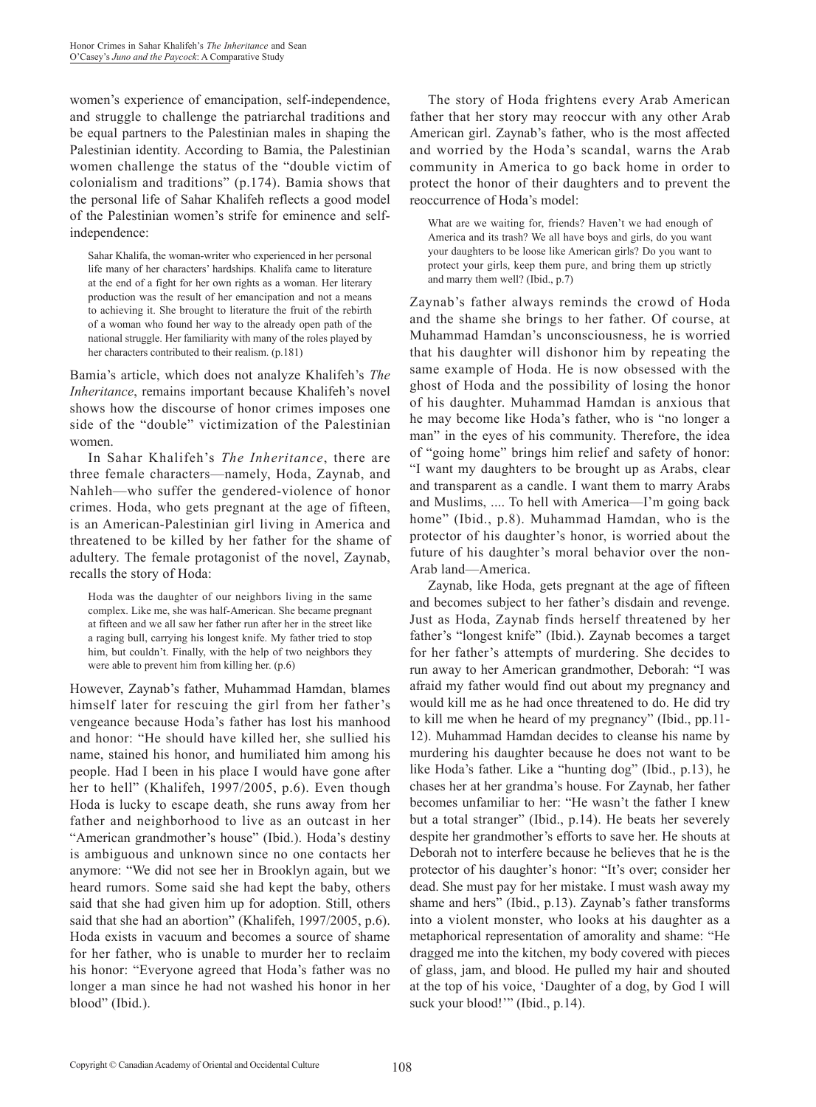women's experience of emancipation, self-independence, and struggle to challenge the patriarchal traditions and be equal partners to the Palestinian males in shaping the Palestinian identity. According to Bamia, the Palestinian women challenge the status of the "double victim of colonialism and traditions" (p.174). Bamia shows that the personal life of Sahar Khalifeh reflects a good model of the Palestinian women's strife for eminence and selfindependence:

Sahar Khalifa, the woman-writer who experienced in her personal life many of her characters' hardships. Khalifa came to literature at the end of a fight for her own rights as a woman. Her literary production was the result of her emancipation and not a means to achieving it. She brought to literature the fruit of the rebirth of a woman who found her way to the already open path of the national struggle. Her familiarity with many of the roles played by her characters contributed to their realism. (p.181)

Bamia's article, which does not analyze Khalifeh's *The Inheritance*, remains important because Khalifeh's novel shows how the discourse of honor crimes imposes one side of the "double" victimization of the Palestinian women.

In Sahar Khalifeh's *The Inheritance*, there are three female characters—namely, Hoda, Zaynab, and Nahleh—who suffer the gendered-violence of honor crimes. Hoda, who gets pregnant at the age of fifteen, is an American-Palestinian girl living in America and threatened to be killed by her father for the shame of adultery. The female protagonist of the novel, Zaynab, recalls the story of Hoda:

Hoda was the daughter of our neighbors living in the same complex. Like me, she was half-American. She became pregnant at fifteen and we all saw her father run after her in the street like a raging bull, carrying his longest knife. My father tried to stop him, but couldn't. Finally, with the help of two neighbors they were able to prevent him from killing her. (p.6)

However, Zaynab's father, Muhammad Hamdan, blames himself later for rescuing the girl from her father's vengeance because Hoda's father has lost his manhood and honor: "He should have killed her, she sullied his name, stained his honor, and humiliated him among his people. Had I been in his place I would have gone after her to hell" (Khalifeh, 1997/2005, p.6). Even though Hoda is lucky to escape death, she runs away from her father and neighborhood to live as an outcast in her "American grandmother's house" (Ibid.). Hoda's destiny is ambiguous and unknown since no one contacts her anymore: "We did not see her in Brooklyn again, but we heard rumors. Some said she had kept the baby, others said that she had given him up for adoption. Still, others said that she had an abortion" (Khalifeh, 1997/2005, p.6). Hoda exists in vacuum and becomes a source of shame for her father, who is unable to murder her to reclaim his honor: "Everyone agreed that Hoda's father was no longer a man since he had not washed his honor in her blood" (Ibid.).

The story of Hoda frightens every Arab American father that her story may reoccur with any other Arab American girl. Zaynab's father, who is the most affected and worried by the Hoda's scandal, warns the Arab community in America to go back home in order to protect the honor of their daughters and to prevent the reoccurrence of Hoda's model:

What are we waiting for, friends? Haven't we had enough of America and its trash? We all have boys and girls, do you want your daughters to be loose like American girls? Do you want to protect your girls, keep them pure, and bring them up strictly and marry them well? (Ibid., p.7)

Zaynab's father always reminds the crowd of Hoda and the shame she brings to her father. Of course, at Muhammad Hamdan's unconsciousness, he is worried that his daughter will dishonor him by repeating the same example of Hoda. He is now obsessed with the ghost of Hoda and the possibility of losing the honor of his daughter. Muhammad Hamdan is anxious that he may become like Hoda's father, who is "no longer a man" in the eyes of his community. Therefore, the idea of "going home" brings him relief and safety of honor: "I want my daughters to be brought up as Arabs, clear and transparent as a candle. I want them to marry Arabs and Muslims, .... To hell with America—I'm going back home" (Ibid., p.8). Muhammad Hamdan, who is the protector of his daughter's honor, is worried about the future of his daughter's moral behavior over the non-Arab land—America.

Zaynab, like Hoda, gets pregnant at the age of fifteen and becomes subject to her father's disdain and revenge. Just as Hoda, Zaynab finds herself threatened by her father's "longest knife" (Ibid.). Zaynab becomes a target for her father's attempts of murdering. She decides to run away to her American grandmother, Deborah: "I was afraid my father would find out about my pregnancy and would kill me as he had once threatened to do. He did try to kill me when he heard of my pregnancy" (Ibid., pp.11- 12). Muhammad Hamdan decides to cleanse his name by murdering his daughter because he does not want to be like Hoda's father. Like a "hunting dog" (Ibid., p.13), he chases her at her grandma's house. For Zaynab, her father becomes unfamiliar to her: "He wasn't the father I knew but a total stranger" (Ibid., p.14). He beats her severely despite her grandmother's efforts to save her. He shouts at Deborah not to interfere because he believes that he is the protector of his daughter's honor: "It's over; consider her dead. She must pay for her mistake. I must wash away my shame and hers" (Ibid., p.13). Zaynab's father transforms into a violent monster, who looks at his daughter as a metaphorical representation of amorality and shame: "He dragged me into the kitchen, my body covered with pieces of glass, jam, and blood. He pulled my hair and shouted at the top of his voice, 'Daughter of a dog, by God I will suck your blood!"" (Ibid., p.14).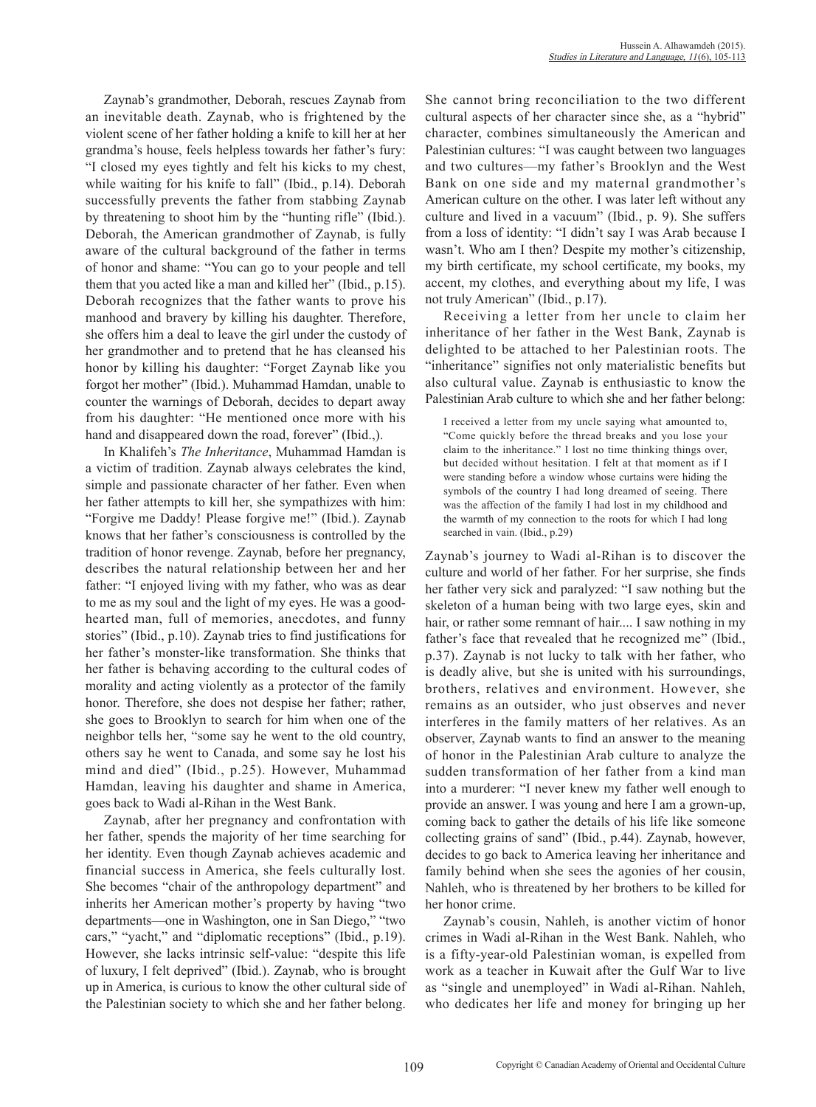Zaynab's grandmother, Deborah, rescues Zaynab from an inevitable death. Zaynab, who is frightened by the violent scene of her father holding a knife to kill her at her grandma's house, feels helpless towards her father's fury: "I closed my eyes tightly and felt his kicks to my chest, while waiting for his knife to fall" (Ibid., p.14). Deborah successfully prevents the father from stabbing Zaynab by threatening to shoot him by the "hunting rifle" (Ibid.). Deborah, the American grandmother of Zaynab, is fully aware of the cultural background of the father in terms of honor and shame: "You can go to your people and tell them that you acted like a man and killed her" (Ibid., p.15). Deborah recognizes that the father wants to prove his manhood and bravery by killing his daughter. Therefore, she offers him a deal to leave the girl under the custody of her grandmother and to pretend that he has cleansed his honor by killing his daughter: "Forget Zaynab like you forgot her mother" (Ibid.). Muhammad Hamdan, unable to counter the warnings of Deborah, decides to depart away from his daughter: "He mentioned once more with his hand and disappeared down the road, forever" (Ibid.,).

In Khalifeh's *The Inheritance*, Muhammad Hamdan is a victim of tradition. Zaynab always celebrates the kind, simple and passionate character of her father. Even when her father attempts to kill her, she sympathizes with him: "Forgive me Daddy! Please forgive me!" (Ibid.). Zaynab knows that her father's consciousness is controlled by the tradition of honor revenge. Zaynab, before her pregnancy, describes the natural relationship between her and her father: "I enjoyed living with my father, who was as dear to me as my soul and the light of my eyes. He was a goodhearted man, full of memories, anecdotes, and funny stories" (Ibid., p.10). Zaynab tries to find justifications for her father's monster-like transformation. She thinks that her father is behaving according to the cultural codes of morality and acting violently as a protector of the family honor. Therefore, she does not despise her father; rather, she goes to Brooklyn to search for him when one of the neighbor tells her, "some say he went to the old country, others say he went to Canada, and some say he lost his mind and died" (Ibid., p.25). However, Muhammad Hamdan, leaving his daughter and shame in America, goes back to Wadi al-Rihan in the West Bank.

Zaynab, after her pregnancy and confrontation with her father, spends the majority of her time searching for her identity. Even though Zaynab achieves academic and financial success in America, she feels culturally lost. She becomes "chair of the anthropology department" and inherits her American mother's property by having "two departments—one in Washington, one in San Diego," "two cars," "yacht," and "diplomatic receptions" (Ibid., p.19). However, she lacks intrinsic self-value: "despite this life of luxury, I felt deprived" (Ibid.). Zaynab, who is brought up in America, is curious to know the other cultural side of the Palestinian society to which she and her father belong.

She cannot bring reconciliation to the two different cultural aspects of her character since she, as a "hybrid" character, combines simultaneously the American and Palestinian cultures: "I was caught between two languages and two cultures—my father's Brooklyn and the West Bank on one side and my maternal grandmother's American culture on the other. I was later left without any culture and lived in a vacuum" (Ibid., p. 9). She suffers from a loss of identity: "I didn't say I was Arab because I wasn't. Who am I then? Despite my mother's citizenship, my birth certificate, my school certificate, my books, my accent, my clothes, and everything about my life, I was not truly American" (Ibid., p.17).

Receiving a letter from her uncle to claim her inheritance of her father in the West Bank, Zaynab is delighted to be attached to her Palestinian roots. The "inheritance" signifies not only materialistic benefits but also cultural value. Zaynab is enthusiastic to know the Palestinian Arab culture to which she and her father belong:

I received a letter from my uncle saying what amounted to, "Come quickly before the thread breaks and you lose your claim to the inheritance." I lost no time thinking things over, but decided without hesitation. I felt at that moment as if I were standing before a window whose curtains were hiding the symbols of the country I had long dreamed of seeing. There was the affection of the family I had lost in my childhood and the warmth of my connection to the roots for which I had long searched in vain. (Ibid., p.29)

Zaynab's journey to Wadi al-Rihan is to discover the culture and world of her father. For her surprise, she finds her father very sick and paralyzed: "I saw nothing but the skeleton of a human being with two large eyes, skin and hair, or rather some remnant of hair.... I saw nothing in my father's face that revealed that he recognized me" (Ibid., p.37). Zaynab is not lucky to talk with her father, who is deadly alive, but she is united with his surroundings, brothers, relatives and environment. However, she remains as an outsider, who just observes and never interferes in the family matters of her relatives. As an observer, Zaynab wants to find an answer to the meaning of honor in the Palestinian Arab culture to analyze the sudden transformation of her father from a kind man into a murderer: "I never knew my father well enough to provide an answer. I was young and here I am a grown-up, coming back to gather the details of his life like someone collecting grains of sand" (Ibid., p.44). Zaynab, however, decides to go back to America leaving her inheritance and family behind when she sees the agonies of her cousin, Nahleh, who is threatened by her brothers to be killed for her honor crime.

Zaynab's cousin, Nahleh, is another victim of honor crimes in Wadi al-Rihan in the West Bank. Nahleh, who is a fifty-year-old Palestinian woman, is expelled from work as a teacher in Kuwait after the Gulf War to live as "single and unemployed" in Wadi al-Rihan. Nahleh, who dedicates her life and money for bringing up her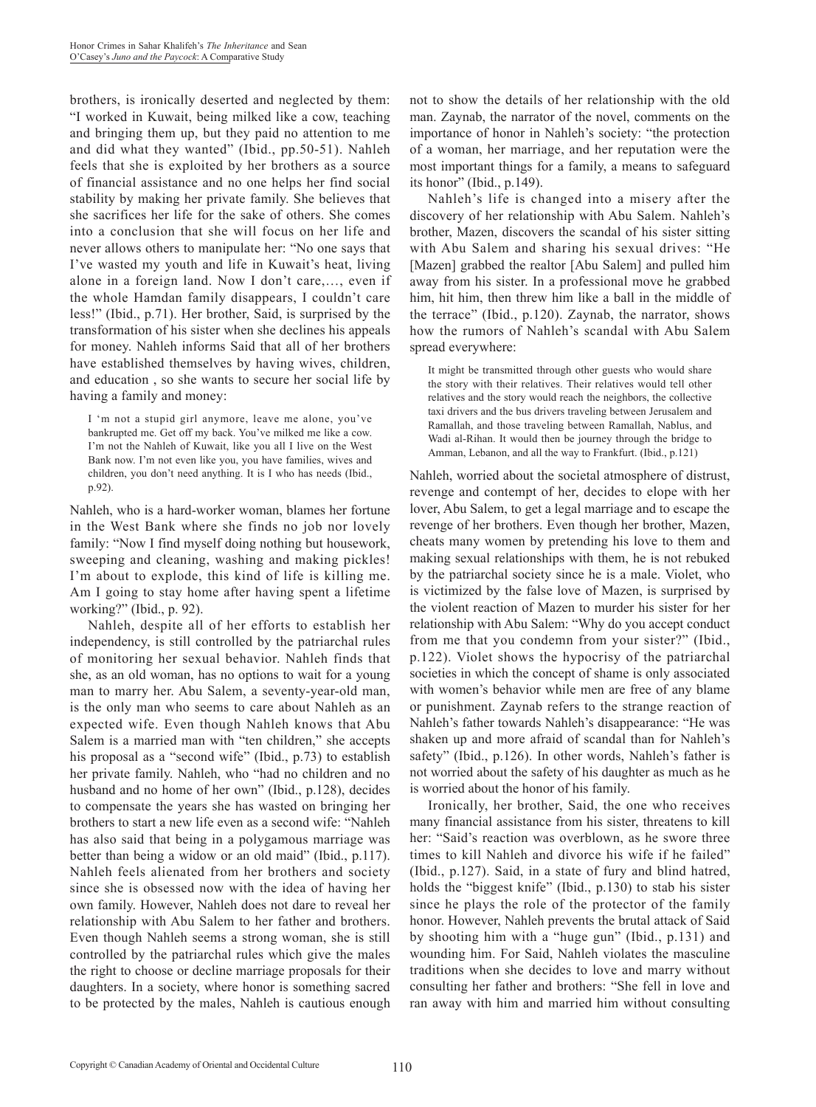brothers, is ironically deserted and neglected by them: "I worked in Kuwait, being milked like a cow, teaching and bringing them up, but they paid no attention to me and did what they wanted" (Ibid., pp.50-51). Nahleh feels that she is exploited by her brothers as a source of financial assistance and no one helps her find social stability by making her private family. She believes that she sacrifices her life for the sake of others. She comes into a conclusion that she will focus on her life and never allows others to manipulate her: "No one says that I've wasted my youth and life in Kuwait's heat, living alone in a foreign land. Now I don't care,…, even if the whole Hamdan family disappears, I couldn't care less!" (Ibid., p.71). Her brother, Said, is surprised by the transformation of his sister when she declines his appeals for money. Nahleh informs Said that all of her brothers have established themselves by having wives, children, and education , so she wants to secure her social life by having a family and money:

I 'm not a stupid girl anymore, leave me alone, you've bankrupted me. Get off my back. You've milked me like a cow. I'm not the Nahleh of Kuwait, like you all I live on the West Bank now. I'm not even like you, you have families, wives and children, you don't need anything. It is I who has needs (Ibid., p.92).

Nahleh, who is a hard-worker woman, blames her fortune in the West Bank where she finds no job nor lovely family: "Now I find myself doing nothing but housework, sweeping and cleaning, washing and making pickles! I'm about to explode, this kind of life is killing me. Am I going to stay home after having spent a lifetime working?" (Ibid., p. 92).

Nahleh, despite all of her efforts to establish her independency, is still controlled by the patriarchal rules of monitoring her sexual behavior. Nahleh finds that she, as an old woman, has no options to wait for a young man to marry her. Abu Salem, a seventy-year-old man, is the only man who seems to care about Nahleh as an expected wife. Even though Nahleh knows that Abu Salem is a married man with "ten children," she accepts his proposal as a "second wife" (Ibid., p.73) to establish her private family. Nahleh, who "had no children and no husband and no home of her own" (Ibid., p.128), decides to compensate the years she has wasted on bringing her brothers to start a new life even as a second wife: "Nahleh has also said that being in a polygamous marriage was better than being a widow or an old maid" (Ibid., p.117). Nahleh feels alienated from her brothers and society since she is obsessed now with the idea of having her own family. However, Nahleh does not dare to reveal her relationship with Abu Salem to her father and brothers. Even though Nahleh seems a strong woman, she is still controlled by the patriarchal rules which give the males the right to choose or decline marriage proposals for their daughters. In a society, where honor is something sacred to be protected by the males, Nahleh is cautious enough not to show the details of her relationship with the old man. Zaynab, the narrator of the novel, comments on the importance of honor in Nahleh's society: "the protection of a woman, her marriage, and her reputation were the most important things for a family, a means to safeguard its honor" (Ibid., p.149).

Nahleh's life is changed into a misery after the discovery of her relationship with Abu Salem. Nahleh's brother, Mazen, discovers the scandal of his sister sitting with Abu Salem and sharing his sexual drives: "He [Mazen] grabbed the realtor [Abu Salem] and pulled him away from his sister. In a professional move he grabbed him, hit him, then threw him like a ball in the middle of the terrace" (Ibid., p.120). Zaynab, the narrator, shows how the rumors of Nahleh's scandal with Abu Salem spread everywhere:

It might be transmitted through other guests who would share the story with their relatives. Their relatives would tell other relatives and the story would reach the neighbors, the collective taxi drivers and the bus drivers traveling between Jerusalem and Ramallah, and those traveling between Ramallah, Nablus, and Wadi al-Rihan. It would then be journey through the bridge to Amman, Lebanon, and all the way to Frankfurt. (Ibid., p.121)

Nahleh, worried about the societal atmosphere of distrust, revenge and contempt of her, decides to elope with her lover, Abu Salem, to get a legal marriage and to escape the revenge of her brothers. Even though her brother, Mazen, cheats many women by pretending his love to them and making sexual relationships with them, he is not rebuked by the patriarchal society since he is a male. Violet, who is victimized by the false love of Mazen, is surprised by the violent reaction of Mazen to murder his sister for her relationship with Abu Salem: "Why do you accept conduct from me that you condemn from your sister?" (Ibid., p.122). Violet shows the hypocrisy of the patriarchal societies in which the concept of shame is only associated with women's behavior while men are free of any blame or punishment. Zaynab refers to the strange reaction of Nahleh's father towards Nahleh's disappearance: "He was shaken up and more afraid of scandal than for Nahleh's safety" (Ibid., p.126). In other words, Nahleh's father is not worried about the safety of his daughter as much as he is worried about the honor of his family.

Ironically, her brother, Said, the one who receives many financial assistance from his sister, threatens to kill her: "Said's reaction was overblown, as he swore three times to kill Nahleh and divorce his wife if he failed" (Ibid., p.127). Said, in a state of fury and blind hatred, holds the "biggest knife" (Ibid., p.130) to stab his sister since he plays the role of the protector of the family honor. However, Nahleh prevents the brutal attack of Said by shooting him with a "huge gun" (Ibid., p.131) and wounding him. For Said, Nahleh violates the masculine traditions when she decides to love and marry without consulting her father and brothers: "She fell in love and ran away with him and married him without consulting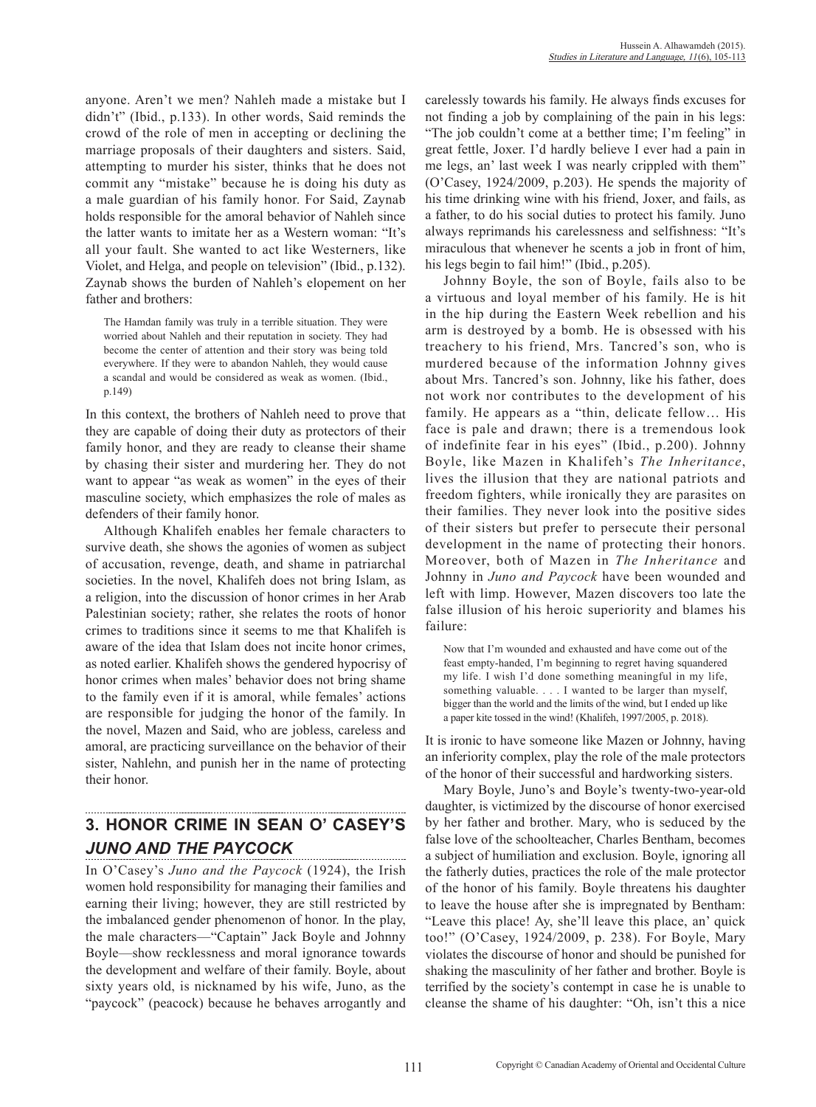anyone. Aren't we men? Nahleh made a mistake but I didn't" (Ibid., p.133). In other words, Said reminds the crowd of the role of men in accepting or declining the marriage proposals of their daughters and sisters. Said, attempting to murder his sister, thinks that he does not commit any "mistake" because he is doing his duty as a male guardian of his family honor. For Said, Zaynab holds responsible for the amoral behavior of Nahleh since the latter wants to imitate her as a Western woman: "It's all your fault. She wanted to act like Westerners, like Violet, and Helga, and people on television" (Ibid., p.132). Zaynab shows the burden of Nahleh's elopement on her father and brothers:

The Hamdan family was truly in a terrible situation. They were worried about Nahleh and their reputation in society. They had become the center of attention and their story was being told everywhere. If they were to abandon Nahleh, they would cause a scandal and would be considered as weak as women. (Ibid., p.149)

In this context, the brothers of Nahleh need to prove that they are capable of doing their duty as protectors of their family honor, and they are ready to cleanse their shame by chasing their sister and murdering her. They do not want to appear "as weak as women" in the eyes of their masculine society, which emphasizes the role of males as defenders of their family honor.

Although Khalifeh enables her female characters to survive death, she shows the agonies of women as subject of accusation, revenge, death, and shame in patriarchal societies. In the novel, Khalifeh does not bring Islam, as a religion, into the discussion of honor crimes in her Arab Palestinian society; rather, she relates the roots of honor crimes to traditions since it seems to me that Khalifeh is aware of the idea that Islam does not incite honor crimes, as noted earlier. Khalifeh shows the gendered hypocrisy of honor crimes when males' behavior does not bring shame to the family even if it is amoral, while females' actions are responsible for judging the honor of the family. In the novel, Mazen and Said, who are jobless, careless and amoral, are practicing surveillance on the behavior of their sister, Nahlehn, and punish her in the name of protecting their honor.

#### **3. HONOR CRIME IN SEAN O' CASEY'S**  *JUNO AND THE PAYCOCK*

In O'Casey's *Juno and the Paycock* (1924), the Irish women hold responsibility for managing their families and earning their living; however, they are still restricted by the imbalanced gender phenomenon of honor. In the play, the male characters—"Captain" Jack Boyle and Johnny Boyle—show recklessness and moral ignorance towards the development and welfare of their family. Boyle, about sixty years old, is nicknamed by his wife, Juno, as the "paycock" (peacock) because he behaves arrogantly and carelessly towards his family. He always finds excuses for not finding a job by complaining of the pain in his legs: "The job couldn't come at a betther time; I'm feeling" in great fettle, Joxer. I'd hardly believe I ever had a pain in me legs, an' last week I was nearly crippled with them" (O'Casey, 1924/2009, p.203). He spends the majority of his time drinking wine with his friend, Joxer, and fails, as a father, to do his social duties to protect his family. Juno always reprimands his carelessness and selfishness: "It's miraculous that whenever he scents a job in front of him, his legs begin to fail him!" (Ibid., p.205).

Johnny Boyle, the son of Boyle, fails also to be a virtuous and loyal member of his family. He is hit in the hip during the Eastern Week rebellion and his arm is destroyed by a bomb. He is obsessed with his treachery to his friend, Mrs. Tancred's son, who is murdered because of the information Johnny gives about Mrs. Tancred's son. Johnny, like his father, does not work nor contributes to the development of his family. He appears as a "thin, delicate fellow… His face is pale and drawn; there is a tremendous look of indefinite fear in his eyes" (Ibid., p.200). Johnny Boyle, like Mazen in Khalifeh's *The Inheritance*, lives the illusion that they are national patriots and freedom fighters, while ironically they are parasites on their families. They never look into the positive sides of their sisters but prefer to persecute their personal development in the name of protecting their honors. Moreover, both of Mazen in *The Inheritance* and Johnny in *Juno and Paycock* have been wounded and left with limp. However, Mazen discovers too late the false illusion of his heroic superiority and blames his failure:

Now that I'm wounded and exhausted and have come out of the feast empty-handed, I'm beginning to regret having squandered my life. I wish I'd done something meaningful in my life, something valuable. . . . I wanted to be larger than myself, bigger than the world and the limits of the wind, but I ended up like a paper kite tossed in the wind! (Khalifeh, 1997/2005, p. 2018).

It is ironic to have someone like Mazen or Johnny, having an inferiority complex, play the role of the male protectors of the honor of their successful and hardworking sisters.

Mary Boyle, Juno's and Boyle's twenty-two-year-old daughter, is victimized by the discourse of honor exercised by her father and brother. Mary, who is seduced by the false love of the schoolteacher, Charles Bentham, becomes a subject of humiliation and exclusion. Boyle, ignoring all the fatherly duties, practices the role of the male protector of the honor of his family. Boyle threatens his daughter to leave the house after she is impregnated by Bentham: "Leave this place! Ay, she'll leave this place, an' quick too!" (O'Casey, 1924/2009, p. 238). For Boyle, Mary violates the discourse of honor and should be punished for shaking the masculinity of her father and brother. Boyle is terrified by the society's contempt in case he is unable to cleanse the shame of his daughter: "Oh, isn't this a nice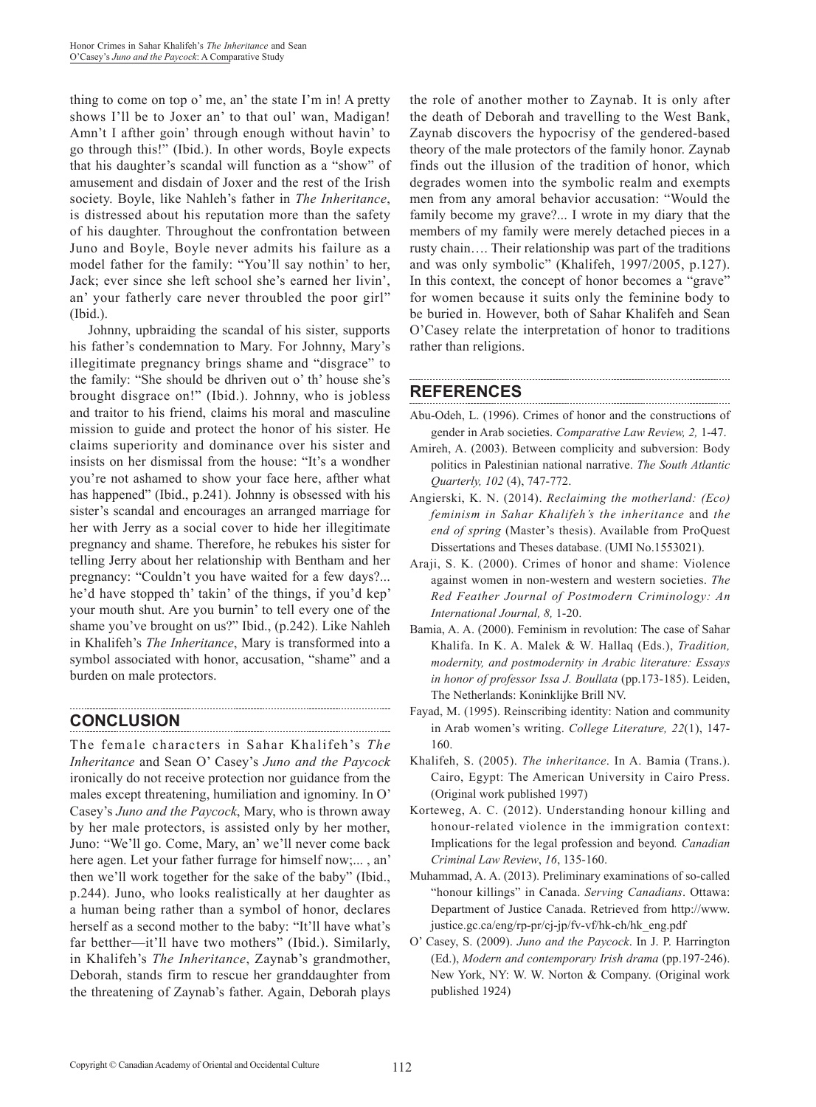thing to come on top o' me, an' the state I'm in! A pretty shows I'll be to Joxer an' to that oul' wan, Madigan! Amn't I afther goin' through enough without havin' to go through this!" (Ibid.). In other words, Boyle expects that his daughter's scandal will function as a "show" of amusement and disdain of Joxer and the rest of the Irish society. Boyle, like Nahleh's father in *The Inheritance*, is distressed about his reputation more than the safety of his daughter. Throughout the confrontation between Juno and Boyle, Boyle never admits his failure as a model father for the family: "You'll say nothin' to her, Jack; ever since she left school she's earned her livin', an' your fatherly care never throubled the poor girl" (Ibid.).

Johnny, upbraiding the scandal of his sister, supports his father's condemnation to Mary. For Johnny, Mary's illegitimate pregnancy brings shame and "disgrace" to the family: "She should be dhriven out o' th' house she's brought disgrace on!" (Ibid.). Johnny, who is jobless and traitor to his friend, claims his moral and masculine mission to guide and protect the honor of his sister. He claims superiority and dominance over his sister and insists on her dismissal from the house: "It's a wondher you're not ashamed to show your face here, afther what has happened" (Ibid., p.241). Johnny is obsessed with his sister's scandal and encourages an arranged marriage for her with Jerry as a social cover to hide her illegitimate pregnancy and shame. Therefore, he rebukes his sister for telling Jerry about her relationship with Bentham and her pregnancy: "Couldn't you have waited for a few days?... he'd have stopped th' takin' of the things, if you'd kep' your mouth shut. Are you burnin' to tell every one of the shame you've brought on us?" Ibid., (p.242). Like Nahleh in Khalifeh's *The Inheritance*, Mary is transformed into a symbol associated with honor, accusation, "shame" and a burden on male protectors.

## **CONCLUSION**

The female characters in Sahar Khalifeh's *The Inheritance* and Sean O' Casey's *Juno and the Paycock* ironically do not receive protection nor guidance from the males except threatening, humiliation and ignominy. In O' Casey's *Juno and the Paycock*, Mary, who is thrown away by her male protectors, is assisted only by her mother, Juno: "We'll go. Come, Mary, an' we'll never come back here agen. Let your father furrage for himself now;... , an' then we'll work together for the sake of the baby" (Ibid., p.244). Juno, who looks realistically at her daughter as a human being rather than a symbol of honor, declares herself as a second mother to the baby: "It'll have what's far betther—it'll have two mothers" (Ibid.). Similarly, in Khalifeh's *The Inheritance*, Zaynab's grandmother, Deborah, stands firm to rescue her granddaughter from the threatening of Zaynab's father. Again, Deborah plays the role of another mother to Zaynab. It is only after the death of Deborah and travelling to the West Bank, Zaynab discovers the hypocrisy of the gendered-based theory of the male protectors of the family honor. Zaynab finds out the illusion of the tradition of honor, which degrades women into the symbolic realm and exempts men from any amoral behavior accusation: "Would the family become my grave?... I wrote in my diary that the members of my family were merely detached pieces in a rusty chain…. Their relationship was part of the traditions and was only symbolic" (Khalifeh, 1997/2005, p.127). In this context, the concept of honor becomes a "grave" for women because it suits only the feminine body to be buried in. However, both of Sahar Khalifeh and Sean O'Casey relate the interpretation of honor to traditions rather than religions.

## **REFERENCES**

Abu-Odeh, L. (1996). Crimes of honor and the constructions of gender in Arab societies. *Comparative Law Review, 2,* 1-47.

- Amireh, A. (2003). Between complicity and subversion: Body politics in Palestinian national narrative. *The South Atlantic Quarterly, 102* (4), 747-772.
- Angierski, K. N. (2014). *Reclaiming the motherland: (Eco) feminism in Sahar Khalifeh's the inheritance* and *the end of spring* (Master's thesis). Available from ProQuest Dissertations and Theses database. (UMI No.1553021).
- Araji, S. K. (2000). Crimes of honor and shame: Violence against women in non-western and western societies. *The Red Feather Journal of Postmodern Criminology: An International Journal, 8,* 1-20.
- Bamia, A. A. (2000). Feminism in revolution: The case of Sahar Khalifa. In K. A. Malek & W. Hallaq (Eds.), *Tradition, modernity, and postmodernity in Arabic literature: Essays in honor of professor Issa J. Boullata* (pp.173-185). Leiden, The Netherlands: Koninklijke Brill NV.
- Fayad, M. (1995). Reinscribing identity: Nation and community in Arab women's writing. *College Literature, 22*(1), 147- 160.
- Khalifeh, S. (2005). *The inheritance*. In A. Bamia (Trans.). Cairo, Egypt: The American University in Cairo Press. (Original work published 1997)
- Korteweg, A. C. (2012). Understanding honour killing and honour-related violence in the immigration context: Implications for the legal profession and beyond*. Canadian Criminal Law Review*, *16*, 135-160.
- Muhammad, A. A. (2013). Preliminary examinations of so-called "honour killings" in Canada. *Serving Canadians*. Ottawa: Department of Justice Canada. Retrieved from http://www. justice.gc.ca/eng/rp-pr/cj-jp/fv-vf/hk-ch/hk\_eng.pdf
- O' Casey, S. (2009). *Juno and the Paycock*. In J. P. Harrington (Ed.), *Modern and contemporary Irish drama* (pp.197-246). New York, NY: W. W. Norton & Company. (Original work published 1924)